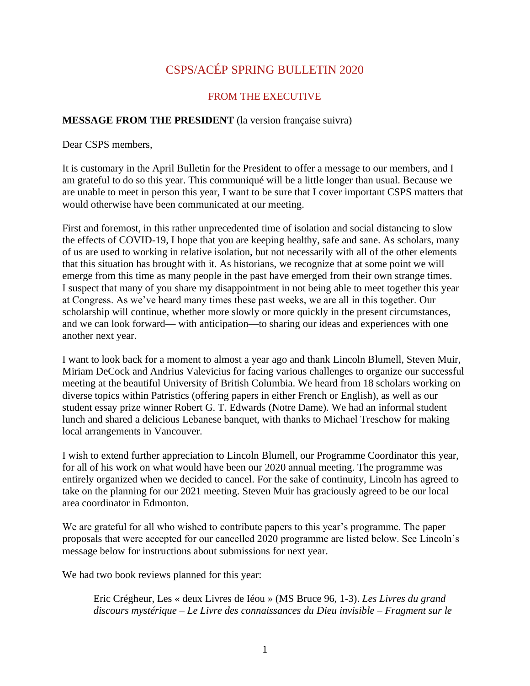# CSPS/ACÉP SPRING BULLETIN 2020

## FROM THE EXECUTIVE

### **MESSAGE FROM THE PRESIDENT** (la version française suivra)

Dear CSPS members,

It is customary in the April Bulletin for the President to offer a message to our members, and I am grateful to do so this year. This communiqué will be a little longer than usual. Because we are unable to meet in person this year, I want to be sure that I cover important CSPS matters that would otherwise have been communicated at our meeting.

First and foremost, in this rather unprecedented time of isolation and social distancing to slow the effects of COVID-19, I hope that you are keeping healthy, safe and sane. As scholars, many of us are used to working in relative isolation, but not necessarily with all of the other elements that this situation has brought with it. As historians, we recognize that at some point we will emerge from this time as many people in the past have emerged from their own strange times. I suspect that many of you share my disappointment in not being able to meet together this year at Congress. As we've heard many times these past weeks, we are all in this together. Our scholarship will continue, whether more slowly or more quickly in the present circumstances, and we can look forward— with anticipation—to sharing our ideas and experiences with one another next year.

I want to look back for a moment to almost a year ago and thank Lincoln Blumell, Steven Muir, Miriam DeCock and Andrius Valevicius for facing various challenges to organize our successful meeting at the beautiful University of British Columbia. We heard from 18 scholars working on diverse topics within Patristics (offering papers in either French or English), as well as our student essay prize winner Robert G. T. Edwards (Notre Dame). We had an informal student lunch and shared a delicious Lebanese banquet, with thanks to Michael Treschow for making local arrangements in Vancouver.

I wish to extend further appreciation to Lincoln Blumell, our Programme Coordinator this year, for all of his work on what would have been our 2020 annual meeting. The programme was entirely organized when we decided to cancel. For the sake of continuity, Lincoln has agreed to take on the planning for our 2021 meeting. Steven Muir has graciously agreed to be our local area coordinator in Edmonton.

We are grateful for all who wished to contribute papers to this year's programme. The paper proposals that were accepted for our cancelled 2020 programme are listed below. See Lincoln's message below for instructions about submissions for next year.

We had two book reviews planned for this year:

Eric Crégheur, Les « deux Livres de Iéou » (MS Bruce 96, 1-3). *Les Livres du grand discours mystérique – Le Livre des connaissances du Dieu invisible – Fragment sur le*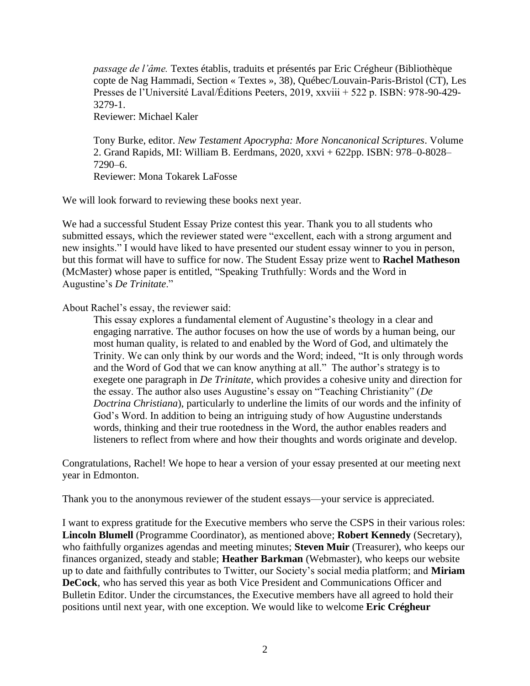*passage de l'âme.* Textes établis, traduits et présentés par Eric Crégheur (Bibliothèque copte de Nag Hammadi, Section « Textes », 38), Québec/Louvain-Paris-Bristol (CT), Les Presses de l'Université Laval/Éditions Peeters, 2019, xxviii + 522 p. ISBN: 978-90-429- 3279-1.

Reviewer: Michael Kaler

Tony Burke, editor. *New Testament Apocrypha: More Noncanonical Scriptures*. Volume 2. Grand Rapids, MI: William B. Eerdmans, 2020, xxvi + 622pp. ISBN: 978–0-8028– 7290–6. Reviewer: Mona Tokarek LaFosse

We will look forward to reviewing these books next year.

We had a successful Student Essay Prize contest this year. Thank you to all students who submitted essays, which the reviewer stated were "excellent, each with a strong argument and new insights." I would have liked to have presented our student essay winner to you in person, but this format will have to suffice for now. The Student Essay prize went to **Rachel Matheson** (McMaster) whose paper is entitled, "Speaking Truthfully: Words and the Word in Augustine's *De Trinitate*."

About Rachel's essay, the reviewer said:

This essay explores a fundamental element of Augustine's theology in a clear and engaging narrative. The author focuses on how the use of words by a human being, our most human quality, is related to and enabled by the Word of God, and ultimately the Trinity. We can only think by our words and the Word; indeed, "It is only through words and the Word of God that we can know anything at all." The author's strategy is to exegete one paragraph in *De Trinitate*, which provides a cohesive unity and direction for the essay. The author also uses Augustine's essay on "Teaching Christianity" (*De Doctrina Christiana*), particularly to underline the limits of our words and the infinity of God's Word. In addition to being an intriguing study of how Augustine understands words, thinking and their true rootedness in the Word, the author enables readers and listeners to reflect from where and how their thoughts and words originate and develop.

Congratulations, Rachel! We hope to hear a version of your essay presented at our meeting next year in Edmonton.

Thank you to the anonymous reviewer of the student essays—your service is appreciated.

I want to express gratitude for the Executive members who serve the CSPS in their various roles: **Lincoln Blumell** (Programme Coordinator), as mentioned above; **Robert Kennedy** (Secretary), who faithfully organizes agendas and meeting minutes; **Steven Muir** (Treasurer), who keeps our finances organized, steady and stable; **Heather Barkman** (Webmaster), who keeps our website up to date and faithfully contributes to Twitter, our Society's social media platform; and **Miriam DeCock**, who has served this year as both Vice President and Communications Officer and Bulletin Editor. Under the circumstances, the Executive members have all agreed to hold their positions until next year, with one exception. We would like to welcome **Eric Crégheur**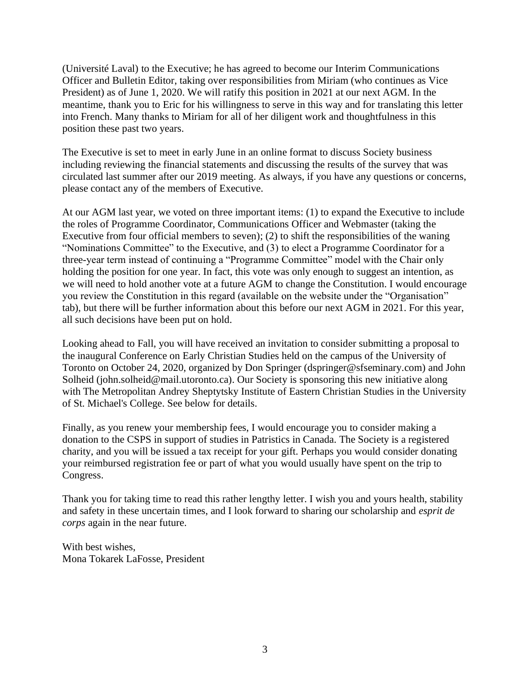(Université Laval) to the Executive; he has agreed to become our Interim Communications Officer and Bulletin Editor, taking over responsibilities from Miriam (who continues as Vice President) as of June 1, 2020. We will ratify this position in 2021 at our next AGM. In the meantime, thank you to Eric for his willingness to serve in this way and for translating this letter into French. Many thanks to Miriam for all of her diligent work and thoughtfulness in this position these past two years.

The Executive is set to meet in early June in an online format to discuss Society business including reviewing the financial statements and discussing the results of the survey that was circulated last summer after our 2019 meeting. As always, if you have any questions or concerns, please contact any of the members of Executive.

At our AGM last year, we voted on three important items: (1) to expand the Executive to include the roles of Programme Coordinator, Communications Officer and Webmaster (taking the Executive from four official members to seven); (2) to shift the responsibilities of the waning "Nominations Committee" to the Executive, and (3) to elect a Programme Coordinator for a three-year term instead of continuing a "Programme Committee" model with the Chair only holding the position for one year. In fact, this vote was only enough to suggest an intention, as we will need to hold another vote at a future AGM to change the Constitution. I would encourage you review the Constitution in this regard (available on the website under the "Organisation" tab), but there will be further information about this before our next AGM in 2021. For this year, all such decisions have been put on hold.

Looking ahead to Fall, you will have received an invitation to consider submitting a proposal to the inaugural Conference on Early Christian Studies held on the campus of the University of Toronto on October 24, 2020, organized by Don Springer (dspringer@sfseminary.com) and John Solheid (john.solheid@mail.utoronto.ca). Our Society is sponsoring this new initiative along with The Metropolitan Andrey Sheptytsky Institute of Eastern Christian Studies in the University of St. Michael's College. See below for details.

Finally, as you renew your membership fees, I would encourage you to consider making a donation to the CSPS in support of studies in Patristics in Canada. The Society is a registered charity, and you will be issued a tax receipt for your gift. Perhaps you would consider donating your reimbursed registration fee or part of what you would usually have spent on the trip to Congress.

Thank you for taking time to read this rather lengthy letter. I wish you and yours health, stability and safety in these uncertain times, and I look forward to sharing our scholarship and *esprit de corps* again in the near future.

With best wishes, Mona Tokarek LaFosse, President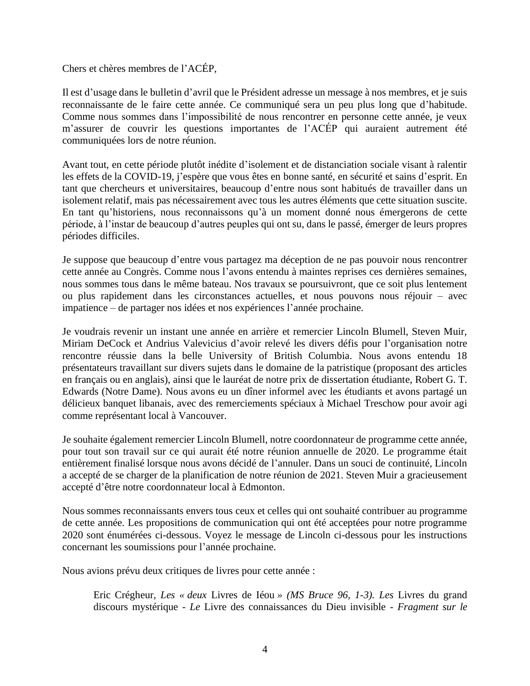Chers et chères membres de l'ACÉP,

Il est d'usage dans le bulletin d'avril que le Président adresse un message à nos membres, et je suis reconnaissante de le faire cette année. Ce communiqué sera un peu plus long que d'habitude. Comme nous sommes dans l'impossibilité de nous rencontrer en personne cette année, je veux m'assurer de couvrir les questions importantes de l'ACÉP qui auraient autrement été communiquées lors de notre réunion.

Avant tout, en cette période plutôt inédite d'isolement et de distanciation sociale visant à ralentir les effets de la COVID-19, j'espère que vous êtes en bonne santé, en sécurité et sains d'esprit. En tant que chercheurs et universitaires, beaucoup d'entre nous sont habitués de travailler dans un isolement relatif, mais pas nécessairement avec tous les autres éléments que cette situation suscite. En tant qu'historiens, nous reconnaissons qu'à un moment donné nous émergerons de cette période, à l'instar de beaucoup d'autres peuples qui ont su, dans le passé, émerger de leurs propres périodes difficiles.

Je suppose que beaucoup d'entre vous partagez ma déception de ne pas pouvoir nous rencontrer cette année au Congrès. Comme nous l'avons entendu à maintes reprises ces dernières semaines, nous sommes tous dans le même bateau. Nos travaux se poursuivront, que ce soit plus lentement ou plus rapidement dans les circonstances actuelles, et nous pouvons nous réjouir – avec impatience – de partager nos idées et nos expériences l'année prochaine.

Je voudrais revenir un instant une année en arrière et remercier Lincoln Blumell, Steven Muir, Miriam DeCock et Andrius Valevicius d'avoir relevé les divers défis pour l'organisation notre rencontre réussie dans la belle University of British Columbia. Nous avons entendu 18 présentateurs travaillant sur divers sujets dans le domaine de la patristique (proposant des articles en français ou en anglais), ainsi que le lauréat de notre prix de dissertation étudiante, Robert G. T. Edwards (Notre Dame). Nous avons eu un dîner informel avec les étudiants et avons partagé un délicieux banquet libanais, avec des remerciements spéciaux à Michael Treschow pour avoir agi comme représentant local à Vancouver.

Je souhaite également remercier Lincoln Blumell, notre coordonnateur de programme cette année, pour tout son travail sur ce qui aurait été notre réunion annuelle de 2020. Le programme était entièrement finalisé lorsque nous avons décidé de l'annuler. Dans un souci de continuité, Lincoln a accepté de se charger de la planification de notre réunion de 2021. Steven Muir a gracieusement accepté d'être notre coordonnateur local à Edmonton.

Nous sommes reconnaissants envers tous ceux et celles qui ont souhaité contribuer au programme de cette année. Les propositions de communication qui ont été acceptées pour notre programme 2020 sont énumérées ci-dessous. Voyez le message de Lincoln ci-dessous pour les instructions concernant les soumissions pour l'année prochaine.

Nous avions prévu deux critiques de livres pour cette année :

Eric Crégheur, *Les « deux* Livres de Iéou *» (MS Bruce 96, 1-3). Les* Livres du grand discours mystérique *- Le* Livre des connaissances du Dieu invisible *- Fragment sur le*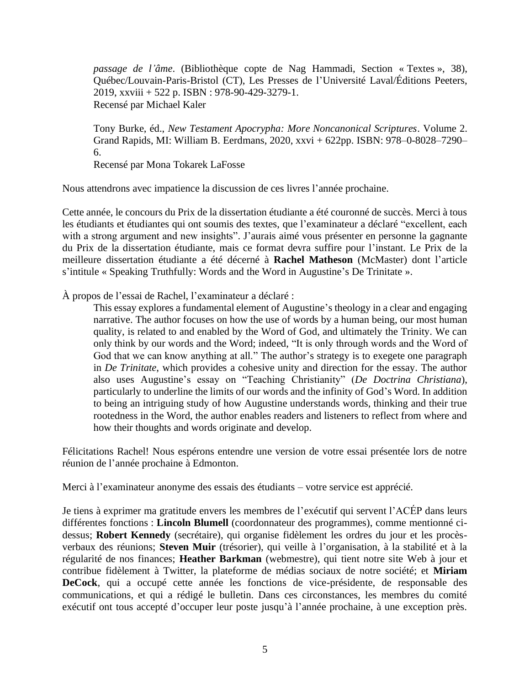*passage de l'âme*. (Bibliothèque copte de Nag Hammadi, Section « Textes », 38), Québec/Louvain-Paris-Bristol (CT), Les Presses de l'Université Laval/Éditions Peeters, 2019, xxviii + 522 p. ISBN : 978-90-429-3279-1. Recensé par Michael Kaler

Tony Burke, éd., *New Testament Apocrypha: More Noncanonical Scriptures*. Volume 2. Grand Rapids, MI: William B. Eerdmans, 2020, xxvi + 622pp. ISBN: 978–0-8028–7290– 6.

Recensé par Mona Tokarek LaFosse

Nous attendrons avec impatience la discussion de ces livres l'année prochaine.

Cette année, le concours du Prix de la dissertation étudiante a été couronné de succès. Merci à tous les étudiants et étudiantes qui ont soumis des textes, que l'examinateur a déclaré "excellent, each with a strong argument and new insights". J'aurais aimé vous présenter en personne la gagnante du Prix de la dissertation étudiante, mais ce format devra suffire pour l'instant. Le Prix de la meilleure dissertation étudiante a été décerné à **Rachel Matheson** (McMaster) dont l'article s'intitule « Speaking Truthfully: Words and the Word in Augustine's De Trinitate ».

À propos de l'essai de Rachel, l'examinateur a déclaré :

This essay explores a fundamental element of Augustine's theology in a clear and engaging narrative. The author focuses on how the use of words by a human being, our most human quality, is related to and enabled by the Word of God, and ultimately the Trinity. We can only think by our words and the Word; indeed, "It is only through words and the Word of God that we can know anything at all." The author's strategy is to exegete one paragraph in *De Trinitate*, which provides a cohesive unity and direction for the essay. The author also uses Augustine's essay on "Teaching Christianity" (*De Doctrina Christiana*), particularly to underline the limits of our words and the infinity of God's Word. In addition to being an intriguing study of how Augustine understands words, thinking and their true rootedness in the Word, the author enables readers and listeners to reflect from where and how their thoughts and words originate and develop.

Félicitations Rachel! Nous espérons entendre une version de votre essai présentée lors de notre réunion de l'année prochaine à Edmonton.

Merci à l'examinateur anonyme des essais des étudiants – votre service est apprécié.

Je tiens à exprimer ma gratitude envers les membres de l'exécutif qui servent l'ACÉP dans leurs différentes fonctions : **Lincoln Blumell** (coordonnateur des programmes), comme mentionné cidessus; **Robert Kennedy** (secrétaire), qui organise fidèlement les ordres du jour et les procèsverbaux des réunions; **Steven Muir** (trésorier), qui veille à l'organisation, à la stabilité et à la régularité de nos finances; **Heather Barkman** (webmestre), qui tient notre site Web à jour et contribue fidèlement à Twitter, la plateforme de médias sociaux de notre société; et **Miriam DeCock**, qui a occupé cette année les fonctions de vice-présidente, de responsable des communications, et qui a rédigé le bulletin. Dans ces circonstances, les membres du comité exécutif ont tous accepté d'occuper leur poste jusqu'à l'année prochaine, à une exception près.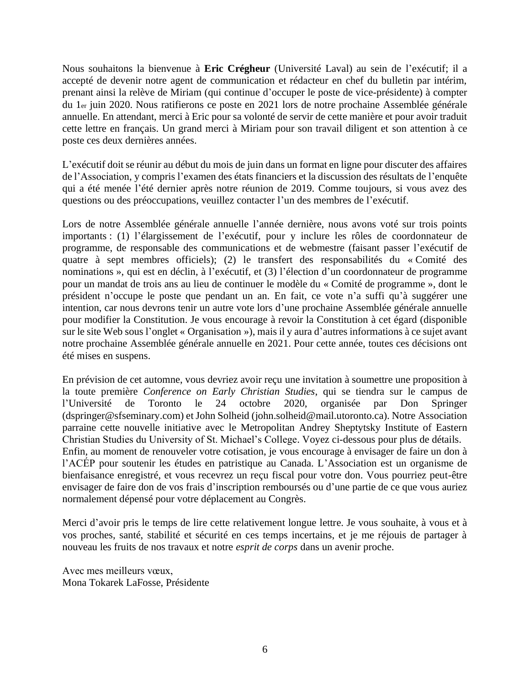Nous souhaitons la bienvenue à **Eric Crégheur** (Université Laval) au sein de l'exécutif; il a accepté de devenir notre agent de communication et rédacteur en chef du bulletin par intérim, prenant ainsi la relève de Miriam (qui continue d'occuper le poste de vice-présidente) à compter du 1er juin 2020. Nous ratifierons ce poste en 2021 lors de notre prochaine Assemblée générale annuelle. En attendant, merci à Eric pour sa volonté de servir de cette manière et pour avoir traduit cette lettre en français. Un grand merci à Miriam pour son travail diligent et son attention à ce poste ces deux dernières années.

L'exécutif doit se réunir au début du mois de juin dans un format en ligne pour discuter des affaires de l'Association, y compris l'examen des états financiers et la discussion des résultats de l'enquête qui a été menée l'été dernier après notre réunion de 2019. Comme toujours, si vous avez des questions ou des préoccupations, veuillez contacter l'un des membres de l'exécutif.

Lors de notre Assemblée générale annuelle l'année dernière, nous avons voté sur trois points importants : (1) l'élargissement de l'exécutif, pour y inclure les rôles de coordonnateur de programme, de responsable des communications et de webmestre (faisant passer l'exécutif de quatre à sept membres officiels); (2) le transfert des responsabilités du « Comité des nominations », qui est en déclin, à l'exécutif, et (3) l'élection d'un coordonnateur de programme pour un mandat de trois ans au lieu de continuer le modèle du « Comité de programme », dont le président n'occupe le poste que pendant un an. En fait, ce vote n'a suffi qu'à suggérer une intention, car nous devrons tenir un autre vote lors d'une prochaine Assemblée générale annuelle pour modifier la Constitution. Je vous encourage à revoir la Constitution à cet égard (disponible sur le site Web sous l'onglet « Organisation »), mais il y aura d'autres informations à ce sujet avant notre prochaine Assemblée générale annuelle en 2021. Pour cette année, toutes ces décisions ont été mises en suspens.

En prévision de cet automne, vous devriez avoir reçu une invitation à soumettre une proposition à la toute première *Conference on Early Christian Studies*, qui se tiendra sur le campus de l'Université de Toronto le 24 octobre 2020, organisée par Don Springer (dspringer@sfseminary.com) et John Solheid (john.solheid@mail.utoronto.ca). Notre Association parraine cette nouvelle initiative avec le Metropolitan Andrey Sheptytsky Institute of Eastern Christian Studies du University of St. Michael's College. Voyez ci-dessous pour plus de détails. Enfin, au moment de renouveler votre cotisation, je vous encourage à envisager de faire un don à l'ACÉP pour soutenir les études en patristique au Canada. L'Association est un organisme de bienfaisance enregistré, et vous recevrez un reçu fiscal pour votre don. Vous pourriez peut-être envisager de faire don de vos frais d'inscription remboursés ou d'une partie de ce que vous auriez normalement dépensé pour votre déplacement au Congrès.

Merci d'avoir pris le temps de lire cette relativement longue lettre. Je vous souhaite, à vous et à vos proches, santé, stabilité et sécurité en ces temps incertains, et je me réjouis de partager à nouveau les fruits de nos travaux et notre *esprit de corps* dans un avenir proche.

Avec mes meilleurs vœux, Mona Tokarek LaFosse, Présidente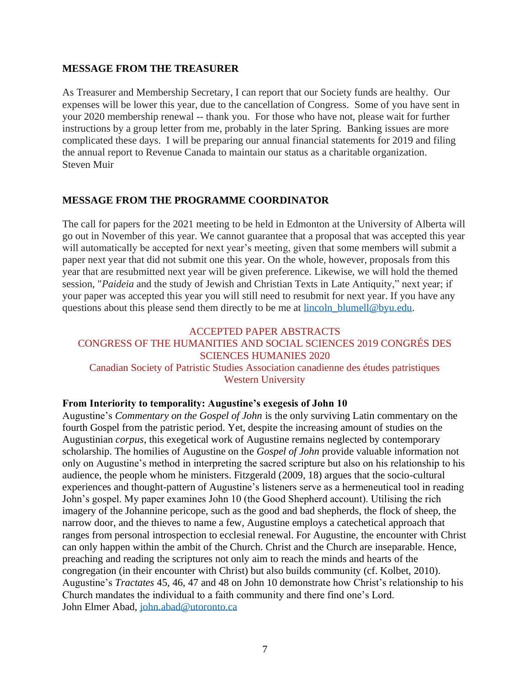## **MESSAGE FROM THE TREASURER**

As Treasurer and Membership Secretary, I can report that our Society funds are healthy. Our expenses will be lower this year, due to the cancellation of Congress. Some of you have sent in your 2020 membership renewal -- thank you. For those who have not, please wait for further instructions by a group letter from me, probably in the later Spring. Banking issues are more complicated these days. I will be preparing our annual financial statements for 2019 and filing the annual report to Revenue Canada to maintain our status as a charitable organization. Steven Muir

# **MESSAGE FROM THE PROGRAMME COORDINATOR**

The call for papers for the 2021 meeting to be held in Edmonton at the University of Alberta will go out in November of this year. We cannot guarantee that a proposal that was accepted this year will automatically be accepted for next year's meeting, given that some members will submit a paper next year that did not submit one this year. On the whole, however, proposals from this year that are resubmitted next year will be given preference. Likewise, we will hold the themed session, "*Paideia* and the study of Jewish and Christian Texts in Late Antiquity," next year; if your paper was accepted this year you will still need to resubmit for next year. If you have any questions about this please send them directly to be me at [lincoln\\_blumell@byu.edu.](mailto:lincoln_blumell@byu.edu)

## ACCEPTED PAPER ABSTRACTS CONGRESS OF THE HUMANITIES AND SOCIAL SCIENCES 2019 CONGRÉS DES SCIENCES HUMANIES 2020 Canadian Society of Patristic Studies Association canadienne des études patristiques

Western University

### **From Interiority to temporality: Augustine's exegesis of John 10**

Augustine's *Commentary on the Gospel of John* is the only surviving Latin commentary on the fourth Gospel from the patristic period. Yet, despite the increasing amount of studies on the Augustinian *corpus*, this exegetical work of Augustine remains neglected by contemporary scholarship. The homilies of Augustine on the *Gospel of John* provide valuable information not only on Augustine's method in interpreting the sacred scripture but also on his relationship to his audience, the people whom he ministers. Fitzgerald (2009, 18) argues that the socio-cultural experiences and thought-pattern of Augustine's listeners serve as a hermeneutical tool in reading John's gospel. My paper examines John 10 (the Good Shepherd account). Utilising the rich imagery of the Johannine pericope, such as the good and bad shepherds, the flock of sheep, the narrow door, and the thieves to name a few, Augustine employs a catechetical approach that ranges from personal introspection to ecclesial renewal. For Augustine, the encounter with Christ can only happen within the ambit of the Church. Christ and the Church are inseparable. Hence, preaching and reading the scriptures not only aim to reach the minds and hearts of the congregation (in their encounter with Christ) but also builds community (cf. Kolbet, 2010). Augustine's *Tractates* 45, 46, 47 and 48 on John 10 demonstrate how Christ's relationship to his Church mandates the individual to a faith community and there find one's Lord. John Elmer Abad, [john.abad@utoronto.ca](mailto:john.abad@utoronto.ca)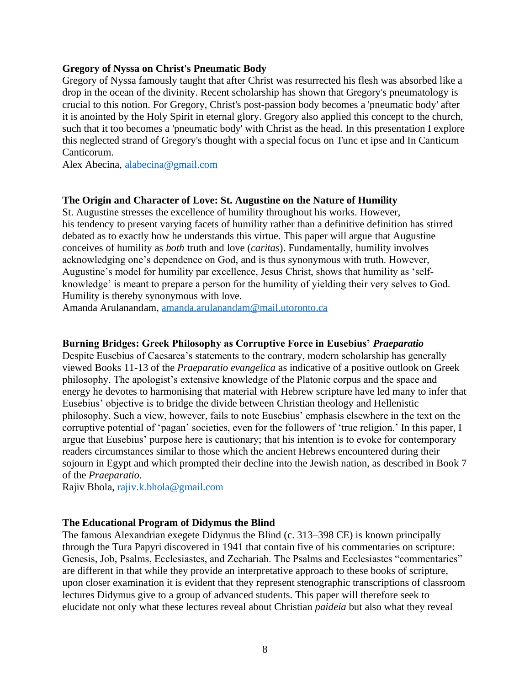#### **Gregory of Nyssa on Christ's Pneumatic Body**

Gregory of Nyssa famously taught that after Christ was resurrected his flesh was absorbed like a drop in the ocean of the divinity. Recent scholarship has shown that Gregory's pneumatology is crucial to this notion. For Gregory, Christ's post-passion body becomes a 'pneumatic body' after it is anointed by the Holy Spirit in eternal glory. Gregory also applied this concept to the church, such that it too becomes a 'pneumatic body' with Christ as the head. In this presentation I explore this neglected strand of Gregory's thought with a special focus on Tunc et ipse and In Canticum Canticorum.

Alex Abecina, [alabecina@gmail.com](mailto:alabecina@gmail.com)

### **The Origin and Character of Love: St. Augustine on the Nature of Humility**

St. Augustine stresses the excellence of humility throughout his works. However, his tendency to present varying facets of humility rather than a definitive definition has stirred debated as to exactly how he understands this virtue. This paper will argue that Augustine conceives of humility as *both* truth and love (*caritas*). Fundamentally, humility involves acknowledging one's dependence on God, and is thus synonymous with truth. However, Augustine's model for humility par excellence, Jesus Christ, shows that humility as 'selfknowledge' is meant to prepare a person for the humility of yielding their very selves to God. Humility is thereby synonymous with love.

Amanda Arulanandam, [amanda.arulanandam@mail.utoronto.ca](mailto:amanda.arulanandam@mail.utoronto.ca)

#### **Burning Bridges: Greek Philosophy as Corruptive Force in Eusebius'** *Praeparatio*

Despite Eusebius of Caesarea's statements to the contrary, modern scholarship has generally viewed Books 11-13 of the *Praeparatio evangelica* as indicative of a positive outlook on Greek philosophy. The apologist's extensive knowledge of the Platonic corpus and the space and energy he devotes to harmonising that material with Hebrew scripture have led many to infer that Eusebius' objective is to bridge the divide between Christian theology and Hellenistic philosophy. Such a view, however, fails to note Eusebius' emphasis elsewhere in the text on the corruptive potential of 'pagan' societies, even for the followers of 'true religion.' In this paper, I argue that Eusebius' purpose here is cautionary; that his intention is to evoke for contemporary readers circumstances similar to those which the ancient Hebrews encountered during their sojourn in Egypt and which prompted their decline into the Jewish nation, as described in Book 7 of the *Praeparatio*.

Rajiv Bhola, [rajiv.k.bhola@gmail.com](mailto:rajiv.k.bhola@gmail.com)

#### **The Educational Program of Didymus the Blind**

The famous Alexandrian exegete Didymus the Blind (c. 313–398 CE) is known principally through the Tura Papyri discovered in 1941 that contain five of his commentaries on scripture: Genesis, Job, Psalms, Ecclesiastes, and Zechariah. The Psalms and Ecclesiastes "commentaries" are different in that while they provide an interpretative approach to these books of scripture, upon closer examination it is evident that they represent stenographic transcriptions of classroom lectures Didymus give to a group of advanced students. This paper will therefore seek to elucidate not only what these lectures reveal about Christian *paideia* but also what they reveal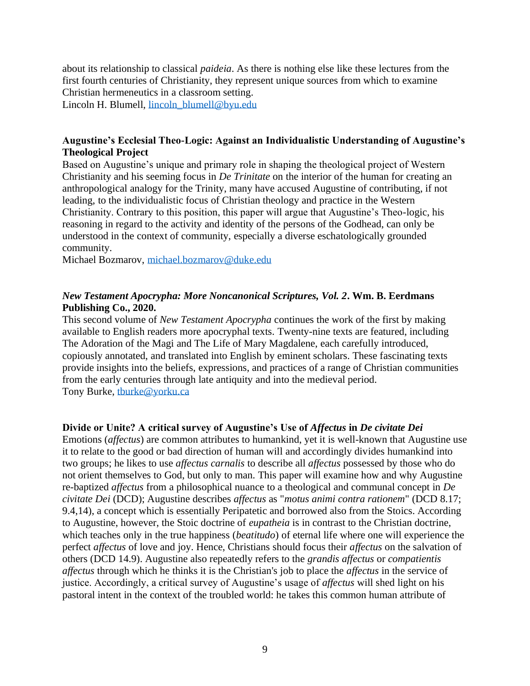about its relationship to classical *paideia*. As there is nothing else like these lectures from the first fourth centuries of Christianity, they represent unique sources from which to examine Christian hermeneutics in a classroom setting. Lincoln H. Blumell, [lincoln\\_blumell@byu.edu](mailto:lincoln_blumell@byu.edu)

## **Augustine's Ecclesial Theo-Logic: Against an Individualistic Understanding of Augustine's Theological Project**

Based on Augustine's unique and primary role in shaping the theological project of Western Christianity and his seeming focus in *De Trinitate* on the interior of the human for creating an anthropological analogy for the Trinity, many have accused Augustine of contributing, if not leading, to the individualistic focus of Christian theology and practice in the Western Christianity. Contrary to this position, this paper will argue that Augustine's Theo-logic, his reasoning in regard to the activity and identity of the persons of the Godhead, can only be understood in the context of community, especially a diverse eschatologically grounded community.

Michael Bozmarov, [michael.bozmarov@duke.edu](mailto:michael.bozmarov@duke.edu)

# *New Testament Apocrypha: More Noncanonical Scriptures, Vol. 2***. Wm. B. Eerdmans Publishing Co., 2020.**

This second volume of *New Testament Apocrypha* continues the work of the first by making available to English readers more apocryphal texts. Twenty-nine texts are featured, including The Adoration of the Magi and The Life of Mary Magdalene, each carefully introduced, copiously annotated, and translated into English by eminent scholars. These fascinating texts provide insights into the beliefs, expressions, and practices of a range of Christian communities from the early centuries through late antiquity and into the medieval period. Tony Burke, [tburke@yorku.ca](mailto:tburke@yorku.ca)

### **Divide or Unite? A critical survey of Augustine's Use of** *Affectus* **in** *De civitate Dei*

Emotions (*affectus*) are common attributes to humankind, yet it is well-known that Augustine use it to relate to the good or bad direction of human will and accordingly divides humankind into two groups; he likes to use *affectus carnalis* to describe all *affectus* possessed by those who do not orient themselves to God, but only to man. This paper will examine how and why Augustine re-baptized *affectus* from a philosophical nuance to a theological and communal concept in *De civitate Dei* (DCD); Augustine describes *affectus* as "*motus animi contra rationem*" (DCD 8.17; 9.4,14), a concept which is essentially Peripatetic and borrowed also from the Stoics. According to Augustine, however, the Stoic doctrine of *eupatheia* is in contrast to the Christian doctrine, which teaches only in the true happiness (*beatitudo*) of eternal life where one will experience the perfect *affectus* of love and joy. Hence, Christians should focus their *affectus* on the salvation of others (DCD 14.9). Augustine also repeatedly refers to the *grandis affectus* or *compatientis affectus* through which he thinks it is the Christian's job to place the *affectus* in the service of justice. Accordingly, a critical survey of Augustine's usage of *affectus* will shed light on his pastoral intent in the context of the troubled world: he takes this common human attribute of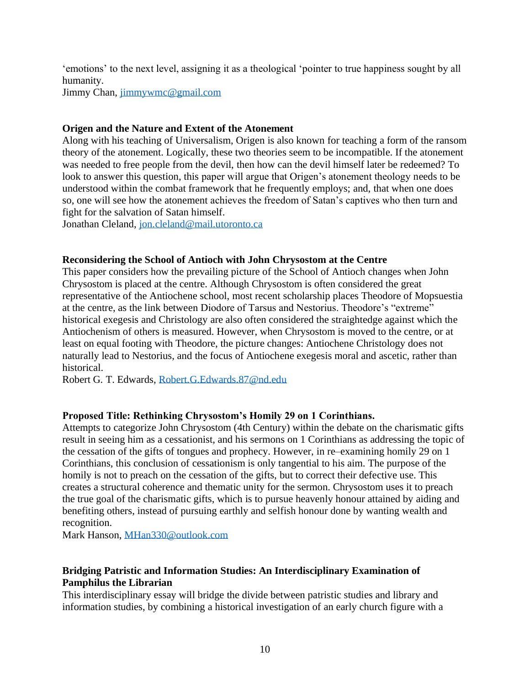'emotions' to the next level, assigning it as a theological 'pointer to true happiness sought by all humanity.

Jimmy Chan, [jimmywmc@gmail.com](mailto:jimmywmc@gmail.com)

## **Origen and the Nature and Extent of the Atonement**

Along with his teaching of Universalism, Origen is also known for teaching a form of the ransom theory of the atonement. Logically, these two theories seem to be incompatible. If the atonement was needed to free people from the devil, then how can the devil himself later be redeemed? To look to answer this question, this paper will argue that Origen's atonement theology needs to be understood within the combat framework that he frequently employs; and, that when one does so, one will see how the atonement achieves the freedom of Satan's captives who then turn and fight for the salvation of Satan himself.

Jonathan Cleland, [jon.cleland@mail.utoronto.ca](mailto:jon.cleland@mail.utoronto.ca)

## **Reconsidering the School of Antioch with John Chrysostom at the Centre**

This paper considers how the prevailing picture of the School of Antioch changes when John Chrysostom is placed at the centre. Although Chrysostom is often considered the great representative of the Antiochene school, most recent scholarship places Theodore of Mopsuestia at the centre, as the link between Diodore of Tarsus and Nestorius. Theodore's "extreme" historical exegesis and Christology are also often considered the straightedge against which the Antiochenism of others is measured. However, when Chrysostom is moved to the centre, or at least on equal footing with Theodore, the picture changes: Antiochene Christology does not naturally lead to Nestorius, and the focus of Antiochene exegesis moral and ascetic, rather than historical.

Robert G. T. Edwards, [Robert.G.Edwards.87@nd.edu](mailto:Robert.G.Edwards.87@nd.edu)

# **Proposed Title: Rethinking Chrysostom's Homily 29 on 1 Corinthians.**

Attempts to categorize John Chrysostom (4th Century) within the debate on the charismatic gifts result in seeing him as a cessationist, and his sermons on 1 Corinthians as addressing the topic of the cessation of the gifts of tongues and prophecy. However, in re–examining homily 29 on 1 Corinthians, this conclusion of cessationism is only tangential to his aim. The purpose of the homily is not to preach on the cessation of the gifts, but to correct their defective use. This creates a structural coherence and thematic unity for the sermon. Chrysostom uses it to preach the true goal of the charismatic gifts, which is to pursue heavenly honour attained by aiding and benefiting others, instead of pursuing earthly and selfish honour done by wanting wealth and recognition.

Mark Hanson, [MHan330@outlook.com](mailto:MHan330@outlook.com)

## **Bridging Patristic and Information Studies: An Interdisciplinary Examination of Pamphilus the Librarian**

This interdisciplinary essay will bridge the divide between patristic studies and library and information studies, by combining a historical investigation of an early church figure with a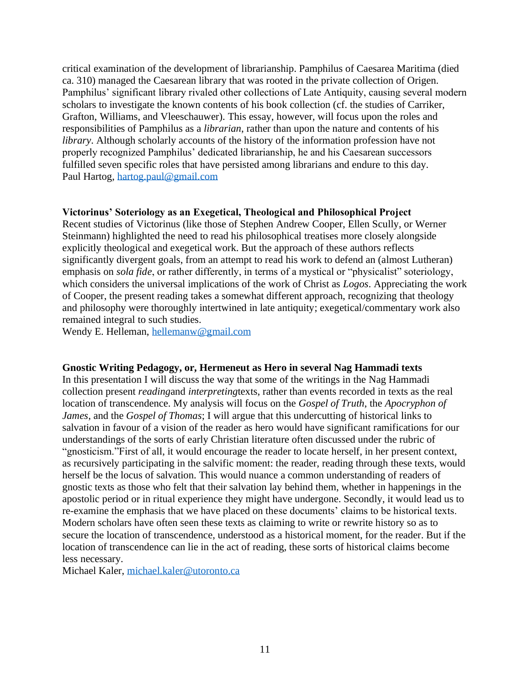critical examination of the development of librarianship. Pamphilus of Caesarea Maritima (died ca. 310) managed the Caesarean library that was rooted in the private collection of Origen. Pamphilus' significant library rivaled other collections of Late Antiquity, causing several modern scholars to investigate the known contents of his book collection (cf. the studies of Carriker, Grafton, Williams, and Vleeschauwer). This essay, however, will focus upon the roles and responsibilities of Pamphilus as a *librarian*, rather than upon the nature and contents of his *library*. Although scholarly accounts of the history of the information profession have not properly recognized Pamphilus' dedicated librarianship, he and his Caesarean successors fulfilled seven specific roles that have persisted among librarians and endure to this day. Paul Hartog, [hartog.paul@gmail.com](mailto:hartog.paul@gmail.com)

### **Victorinus' Soteriology as an Exegetical, Theological and Philosophical Project**

Recent studies of Victorinus (like those of Stephen Andrew Cooper, Ellen Scully, or Werner Steinmann) highlighted the need to read his philosophical treatises more closely alongside explicitly theological and exegetical work. But the approach of these authors reflects significantly divergent goals, from an attempt to read his work to defend an (almost Lutheran) emphasis on *sola fide*, or rather differently, in terms of a mystical or "physicalist" soteriology, which considers the universal implications of the work of Christ as *Logos*. Appreciating the work of Cooper, the present reading takes a somewhat different approach, recognizing that theology and philosophy were thoroughly intertwined in late antiquity; exegetical/commentary work also remained integral to such studies.

Wendy E. Helleman, [hellemanw@gmail.com](mailto:hellemanw@gmail.com)

### **Gnostic Writing Pedagogy, or, Hermeneut as Hero in several Nag Hammadi texts**

In this presentation I will discuss the way that some of the writings in the Nag Hammadi collection present *reading*and *interpreting*texts, rather than events recorded in texts as the real location of transcendence. My analysis will focus on the *Gospel of Truth*, the *Apocryphon of James*, and the *Gospel of Thomas*; I will argue that this undercutting of historical links to salvation in favour of a vision of the reader as hero would have significant ramifications for our understandings of the sorts of early Christian literature often discussed under the rubric of "gnosticism."First of all, it would encourage the reader to locate herself, in her present context, as recursively participating in the salvific moment: the reader, reading through these texts, would herself be the locus of salvation. This would nuance a common understanding of readers of gnostic texts as those who felt that their salvation lay behind them, whether in happenings in the apostolic period or in ritual experience they might have undergone. Secondly, it would lead us to re-examine the emphasis that we have placed on these documents' claims to be historical texts. Modern scholars have often seen these texts as claiming to write or rewrite history so as to secure the location of transcendence, understood as a historical moment, for the reader. But if the location of transcendence can lie in the act of reading, these sorts of historical claims become less necessary.

Michael Kaler, [michael.kaler@utoronto.ca](mailto:michael.kaler@utoronto.ca)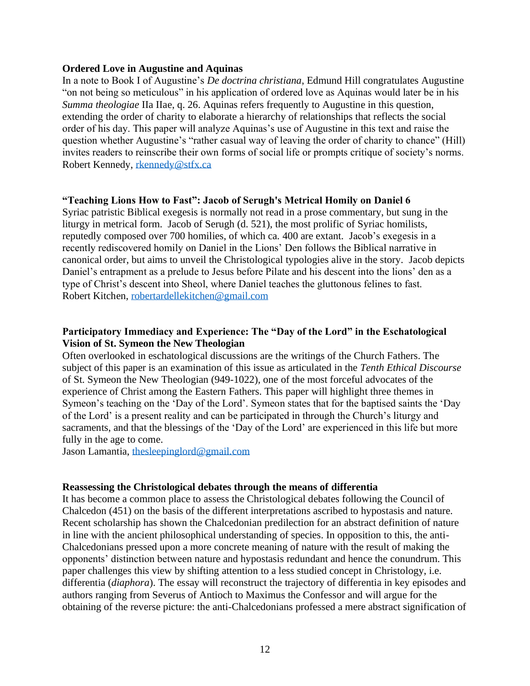#### **Ordered Love in Augustine and Aquinas**

In a note to Book I of Augustine's *De doctrina christiana*, Edmund Hill congratulates Augustine "on not being so meticulous" in his application of ordered love as Aquinas would later be in his *Summa theologiae* IIa IIae, q. 26. Aquinas refers frequently to Augustine in this question, extending the order of charity to elaborate a hierarchy of relationships that reflects the social order of his day. This paper will analyze Aquinas's use of Augustine in this text and raise the question whether Augustine's "rather casual way of leaving the order of charity to chance" (Hill) invites readers to reinscribe their own forms of social life or prompts critique of society's norms. Robert Kennedy, [rkennedy@stfx.ca](mailto:rkennedy@stfx.ca)

### **"Teaching Lions How to Fast": Jacob of Serugh's Metrical Homily on Daniel 6**

Syriac patristic Biblical exegesis is normally not read in a prose commentary, but sung in the liturgy in metrical form. Jacob of Serugh (d. 521), the most prolific of Syriac homilists, reputedly composed over 700 homilies, of which ca. 400 are extant. Jacob's exegesis in a recently rediscovered homily on Daniel in the Lions' Den follows the Biblical narrative in canonical order, but aims to unveil the Christological typologies alive in the story. Jacob depicts Daniel's entrapment as a prelude to Jesus before Pilate and his descent into the lions' den as a type of Christ's descent into Sheol, where Daniel teaches the gluttonous felines to fast. Robert Kitchen, [robertardellekitchen@gmail.com](mailto:robertardellekitchen@gmail.com)

## **Participatory Immediacy and Experience: The "Day of the Lord" in the Eschatological Vision of St. Symeon the New Theologian**

Often overlooked in eschatological discussions are the writings of the Church Fathers. The subject of this paper is an examination of this issue as articulated in the *Tenth Ethical Discourse* of St. Symeon the New Theologian (949-1022), one of the most forceful advocates of the experience of Christ among the Eastern Fathers. This paper will highlight three themes in Symeon's teaching on the 'Day of the Lord'. Symeon states that for the baptised saints the 'Day of the Lord' is a present reality and can be participated in through the Church's liturgy and sacraments, and that the blessings of the 'Day of the Lord' are experienced in this life but more fully in the age to come.

Jason Lamantia, [thesleepinglord@gmail.com](mailto:thesleepinglord@gmail.com)

### **Reassessing the Christological debates through the means of differentia**

It has become a common place to assess the Christological debates following the Council of Chalcedon (451) on the basis of the different interpretations ascribed to hypostasis and nature. Recent scholarship has shown the Chalcedonian predilection for an abstract definition of nature in line with the ancient philosophical understanding of species. In opposition to this, the anti-Chalcedonians pressed upon a more concrete meaning of nature with the result of making the opponents' distinction between nature and hypostasis redundant and hence the conundrum. This paper challenges this view by shifting attention to a less studied concept in Christology, i.e. differentia (*diaphora*). The essay will reconstruct the trajectory of differentia in key episodes and authors ranging from Severus of Antioch to Maximus the Confessor and will argue for the obtaining of the reverse picture: the anti-Chalcedonians professed a mere abstract signification of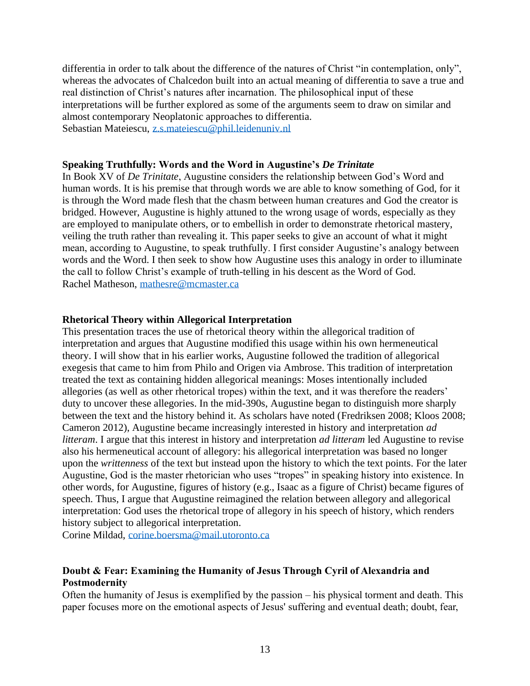differentia in order to talk about the difference of the natures of Christ "in contemplation, only", whereas the advocates of Chalcedon built into an actual meaning of differentia to save a true and real distinction of Christ's natures after incarnation. The philosophical input of these interpretations will be further explored as some of the arguments seem to draw on similar and almost contemporary Neoplatonic approaches to differentia. Sebastian Mateiescu, [z.s.mateiescu@phil.leidenuniv.nl](mailto:z.s.mateiescu@phil.leidenuniv.nl)

#### **Speaking Truthfully: Words and the Word in Augustine's** *De Trinitate*

In Book XV of *De Trinitate*, Augustine considers the relationship between God's Word and human words. It is his premise that through words we are able to know something of God, for it is through the Word made flesh that the chasm between human creatures and God the creator is bridged. However, Augustine is highly attuned to the wrong usage of words, especially as they are employed to manipulate others, or to embellish in order to demonstrate rhetorical mastery, veiling the truth rather than revealing it. This paper seeks to give an account of what it might mean, according to Augustine, to speak truthfully. I first consider Augustine's analogy between words and the Word. I then seek to show how Augustine uses this analogy in order to illuminate the call to follow Christ's example of truth-telling in his descent as the Word of God. Rachel Matheson, [mathesre@mcmaster.ca](mailto:mathesre@mcmaster.ca)

### **Rhetorical Theory within Allegorical Interpretation**

This presentation traces the use of rhetorical theory within the allegorical tradition of interpretation and argues that Augustine modified this usage within his own hermeneutical theory. I will show that in his earlier works, Augustine followed the tradition of allegorical exegesis that came to him from Philo and Origen via Ambrose. This tradition of interpretation treated the text as containing hidden allegorical meanings: Moses intentionally included allegories (as well as other rhetorical tropes) within the text, and it was therefore the readers' duty to uncover these allegories. In the mid-390s, Augustine began to distinguish more sharply between the text and the history behind it. As scholars have noted (Fredriksen 2008; Kloos 2008; Cameron 2012), Augustine became increasingly interested in history and interpretation *ad litteram*. I argue that this interest in history and interpretation *ad litteram* led Augustine to revise also his hermeneutical account of allegory: his allegorical interpretation was based no longer upon the *writtenness* of the text but instead upon the history to which the text points. For the later Augustine, God is the master rhetorician who uses "tropes" in speaking history into existence. In other words, for Augustine, figures of history (e.g., Isaac as a figure of Christ) became figures of speech. Thus, I argue that Augustine reimagined the relation between allegory and allegorical interpretation: God uses the rhetorical trope of allegory in his speech of history, which renders history subject to allegorical interpretation.

Corine Mildad, [corine.boersma@mail.utoronto.ca](mailto:corine.boersma@mail.utoronto.ca)

### **Doubt & Fear: Examining the Humanity of Jesus Through Cyril of Alexandria and Postmodernity**

Often the humanity of Jesus is exemplified by the passion – his physical torment and death. This paper focuses more on the emotional aspects of Jesus' suffering and eventual death; doubt, fear,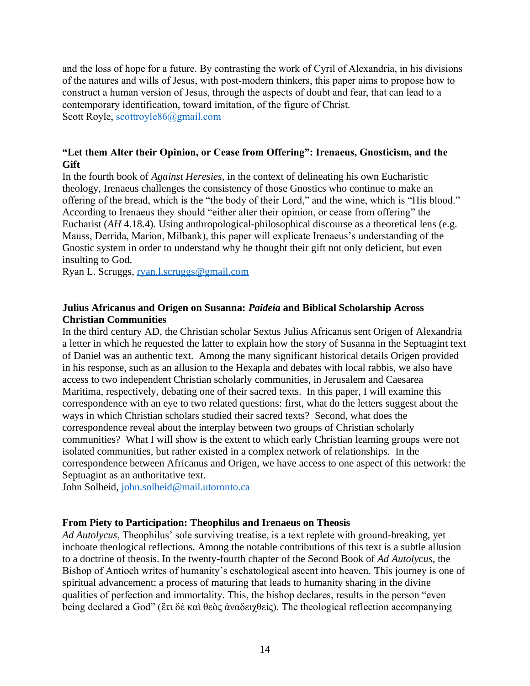and the loss of hope for a future. By contrasting the work of Cyril of Alexandria, in his divisions of the natures and wills of Jesus, with post-modern thinkers, this paper aims to propose how to construct a human version of Jesus, through the aspects of doubt and fear, that can lead to a contemporary identification, toward imitation, of the figure of Christ. Scott Royle, [scottroyle86@gmail.com](mailto:scottroyle86@gmail.com)

## **"Let them Alter their Opinion, or Cease from Offering": Irenaeus, Gnosticism, and the Gift**

In the fourth book of *Against Heresies*, in the context of delineating his own Eucharistic theology, Irenaeus challenges the consistency of those Gnostics who continue to make an offering of the bread, which is the "the body of their Lord," and the wine, which is "His blood." According to Irenaeus they should "either alter their opinion, or cease from offering" the Eucharist (*AH* 4.18.4). Using anthropological-philosophical discourse as a theoretical lens (e.g. Mauss, Derrida, Marion, Milbank), this paper will explicate Irenaeus's understanding of the Gnostic system in order to understand why he thought their gift not only deficient, but even insulting to God.

Ryan L. Scruggs, [ryan.l.scruggs@gmail.com](mailto:ryan.l.scruggs@gmail.com)

## **Julius Africanus and Origen on Susanna:** *Paideia* **and Biblical Scholarship Across Christian Communities**

In the third century AD, the Christian scholar Sextus Julius Africanus sent Origen of Alexandria a letter in which he requested the latter to explain how the story of Susanna in the Septuagint text of Daniel was an authentic text. Among the many significant historical details Origen provided in his response, such as an allusion to the Hexapla and debates with local rabbis, we also have access to two independent Christian scholarly communities, in Jerusalem and Caesarea Maritima, respectively, debating one of their sacred texts. In this paper, I will examine this correspondence with an eye to two related questions: first, what do the letters suggest about the ways in which Christian scholars studied their sacred texts? Second, what does the correspondence reveal about the interplay between two groups of Christian scholarly communities? What I will show is the extent to which early Christian learning groups were not isolated communities, but rather existed in a complex network of relationships. In the correspondence between Africanus and Origen, we have access to one aspect of this network: the Septuagint as an authoritative text.

John Solheid, [john.solheid@mail.utoronto.ca](mailto:john.solheid@mail.utoronto.ca)

### **From Piety to Participation: Theophilus and Irenaeus on Theosis**

*Ad Autolycus*, Theophilus' sole surviving treatise, is a text replete with ground-breaking, yet inchoate theological reflections. Among the notable contributions of this text is a subtle allusion to a doctrine of theosis. In the twenty-fourth chapter of the Second Book of *Ad Autolycus*, the Bishop of Antioch writes of humanity's eschatological ascent into heaven. This journey is one of spiritual advancement; a process of maturing that leads to humanity sharing in the divine qualities of perfection and immortality. This, the bishop declares, results in the person "even being declared a God" (ἔτι δὲ καὶ θεὸς ἀναδειχθείς). The theological reflection accompanying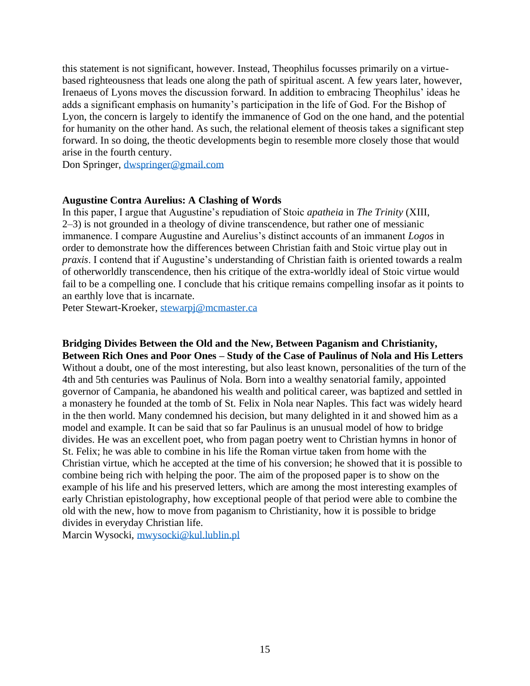this statement is not significant, however. Instead, Theophilus focusses primarily on a virtuebased righteousness that leads one along the path of spiritual ascent. A few years later, however, Irenaeus of Lyons moves the discussion forward. In addition to embracing Theophilus' ideas he adds a significant emphasis on humanity's participation in the life of God. For the Bishop of Lyon, the concern is largely to identify the immanence of God on the one hand, and the potential for humanity on the other hand. As such, the relational element of theosis takes a significant step forward. In so doing, the theotic developments begin to resemble more closely those that would arise in the fourth century.

Don Springer, [dwspringer@gmail.com](mailto:dwspringer@gmail.com)

### **Augustine Contra Aurelius: A Clashing of Words**

In this paper, I argue that Augustine's repudiation of Stoic *apatheia* in *The Trinity* (XIII, 2–3) is not grounded in a theology of divine transcendence, but rather one of messianic immanence. I compare Augustine and Aurelius's distinct accounts of an immanent *Logos* in order to demonstrate how the differences between Christian faith and Stoic virtue play out in *praxis*. I contend that if Augustine's understanding of Christian faith is oriented towards a realm of otherworldly transcendence, then his critique of the extra-worldly ideal of Stoic virtue would fail to be a compelling one. I conclude that his critique remains compelling insofar as it points to an earthly love that is incarnate.

Peter Stewart-Kroeker, [stewarpj@mcmaster.ca](mailto:stewarpj@mcmaster.ca)

# **Bridging Divides Between the Old and the New, Between Paganism and Christianity,**

**Between Rich Ones and Poor Ones – Study of the Case of Paulinus of Nola and His Letters** Without a doubt, one of the most interesting, but also least known, personalities of the turn of the 4th and 5th centuries was Paulinus of Nola. Born into a wealthy senatorial family, appointed governor of Campania, he abandoned his wealth and political career, was baptized and settled in a monastery he founded at the tomb of St. Felix in Nola near Naples. This fact was widely heard in the then world. Many condemned his decision, but many delighted in it and showed him as a model and example. It can be said that so far Paulinus is an unusual model of how to bridge divides. He was an excellent poet, who from pagan poetry went to Christian hymns in honor of St. Felix; he was able to combine in his life the Roman virtue taken from home with the Christian virtue, which he accepted at the time of his conversion; he showed that it is possible to combine being rich with helping the poor. The aim of the proposed paper is to show on the example of his life and his preserved letters, which are among the most interesting examples of early Christian epistolography, how exceptional people of that period were able to combine the old with the new, how to move from paganism to Christianity, how it is possible to bridge divides in everyday Christian life.

Marcin Wysocki, [mwysocki@kul.lublin.pl](mailto:mwysocki@kul.lublin.pl)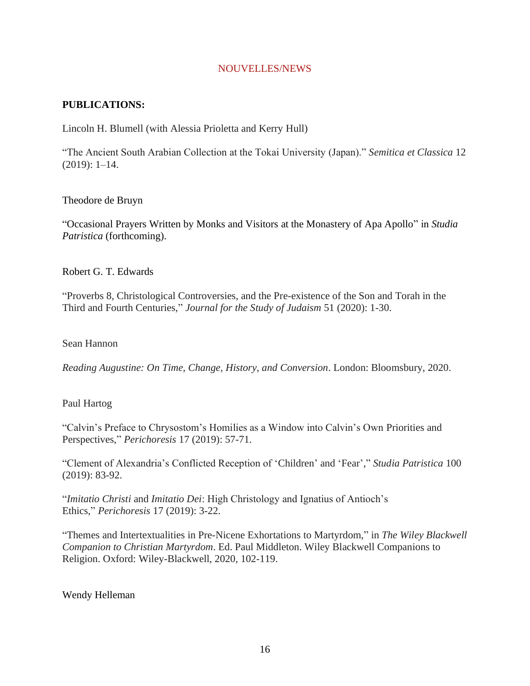## NOUVELLES/NEWS

# **PUBLICATIONS:**

Lincoln H. Blumell (with Alessia Prioletta and Kerry Hull)

"The Ancient South Arabian Collection at the Tokai University (Japan)." *Semitica et Classica* 12 (2019): 1–14.

# Theodore de Bruyn

"Occasional Prayers Written by Monks and Visitors at the Monastery of Apa Apollo" in *Studia Patristica* (forthcoming).

Robert G. T. Edwards

"Proverbs 8, Christological Controversies, and the Pre-existence of the Son and Torah in the Third and Fourth Centuries," *Journal for the Study of Judaism* 51 (2020): 1-30.

### Sean Hannon

*Reading Augustine: On Time, Change, History, and Conversion*. London: Bloomsbury, 2020.

Paul Hartog

"Calvin's Preface to Chrysostom's Homilies as a Window into Calvin's Own Priorities and Perspectives," *Perichoresis* 17 (2019): 57-71.

"Clement of Alexandria's Conflicted Reception of 'Children' and 'Fear'," *Studia Patristica* 100 (2019): 83-92.

"*Imitatio Christi* and *Imitatio Dei*: High Christology and Ignatius of Antioch's Ethics," *Perichoresis* 17 (2019): 3-22.

"Themes and Intertextualities in Pre-Nicene Exhortations to Martyrdom," in *The Wiley Blackwell Companion to Christian Martyrdom*. Ed. Paul Middleton. Wiley Blackwell Companions to Religion. Oxford: Wiley-Blackwell, 2020, 102-119.

Wendy Helleman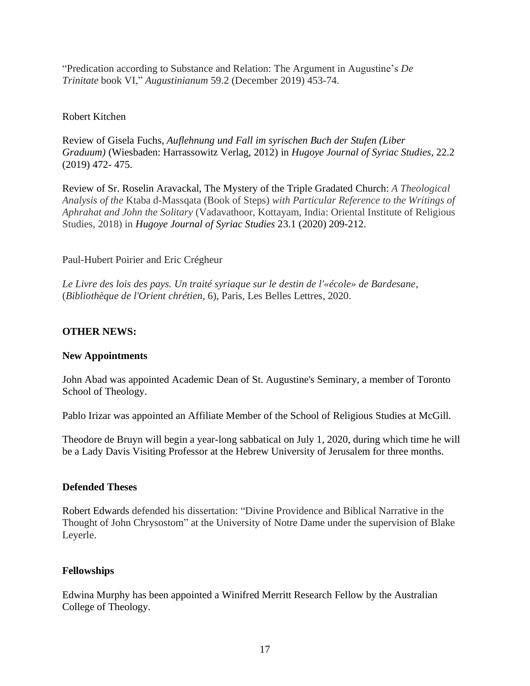"Predication according to Substance and Relation: The Argument in Augustine's *De Trinitate* book VI," *Augustinianum* 59.2 (December 2019) 453-74.

## Robert Kitchen

Review of Gisela Fuchs, *Auflehnung und Fall im syrischen Buch der Stufen (Liber Graduum)* (Wiesbaden: Harrassowitz Verlag, 2012) in *Hugoye Journal of Syriac Studies*, 22.2 (2019) 472- 475.

Review of Sr. Roselin Aravackal, The Mystery of the Triple Gradated Church: *A Theological Analysis of the* Ktaba d-Massqata (Book of Steps) *with Particular Reference to the Writings of Aphrahat and John the Solitary* (Vadavathoor, Kottayam, India: Oriental Institute of Religious Studies, 2018) in *Hugoye Journal of Syriac Studies* 23.1 (2020) 209-212.

## Paul-Hubert Poirier and Eric Crégheur

*Le Livre des lois des pays. Un traité syriaque sur le destin de l'«école» de Bardesane*, (*Bibliothèque de l'Orient chrétien*, 6), Paris, Les Belles Lettres, 2020.

## **OTHER NEWS:**

### **New Appointments**

John Abad was appointed Academic Dean of St. Augustine's Seminary, a member of Toronto School of Theology.

Pablo Irizar was appointed an Affiliate Member of the School of Religious Studies at McGill.

Theodore de Bruyn will begin a year-long sabbatical on July 1, 2020, during which time he will be a Lady Davis Visiting Professor at the Hebrew University of Jerusalem for three months.

### **Defended Theses**

Robert Edwards defended his dissertation: "Divine Providence and Biblical Narrative in the Thought of John Chrysostom" at the University of Notre Dame under the supervision of Blake Leyerle.

### **Fellowships**

Edwina Murphy has been appointed a Winifred Merritt Research Fellow by the Australian College of Theology.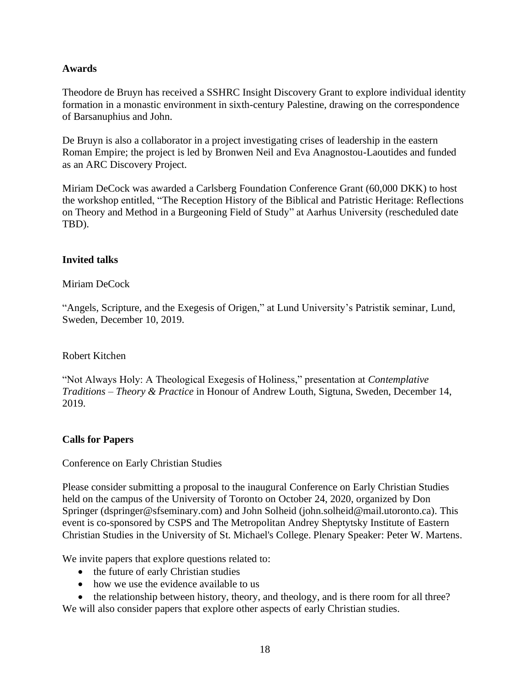## **Awards**

Theodore de Bruyn has received a SSHRC Insight Discovery Grant to explore individual identity formation in a monastic environment in sixth-century Palestine, drawing on the correspondence of Barsanuphius and John.

De Bruyn is also a collaborator in a project investigating crises of leadership in the eastern Roman Empire; the project is led by Bronwen Neil and Eva Anagnostou-Laoutides and funded as an ARC Discovery Project.

Miriam DeCock was awarded a Carlsberg Foundation Conference Grant (60,000 DKK) to host the workshop entitled, "The Reception History of the Biblical and Patristic Heritage: Reflections on Theory and Method in a Burgeoning Field of Study" at Aarhus University (rescheduled date TBD).

## **Invited talks**

### Miriam DeCock

"Angels, Scripture, and the Exegesis of Origen," at Lund University's Patristik seminar, Lund, Sweden, December 10, 2019.

### Robert Kitchen

"Not Always Holy: A Theological Exegesis of Holiness," presentation at *Contemplative Traditions – Theory & Practice* in Honour of Andrew Louth, Sigtuna, Sweden, December 14, 2019.

### **Calls for Papers**

### Conference on Early Christian Studies

Please consider submitting a proposal to the inaugural Conference on Early Christian Studies held on the campus of the University of Toronto on October 24, 2020, organized by Don Springer (dspringer@sfseminary.com) and John Solheid (john.solheid@mail.utoronto.ca). This event is co-sponsored by CSPS and The Metropolitan Andrey Sheptytsky Institute of Eastern Christian Studies in the University of St. Michael's College. Plenary Speaker: Peter W. Martens.

We invite papers that explore questions related to:

- the future of early Christian studies
- how we use the evidence available to us
- the relationship between history, theory, and theology, and is there room for all three?

We will also consider papers that explore other aspects of early Christian studies.